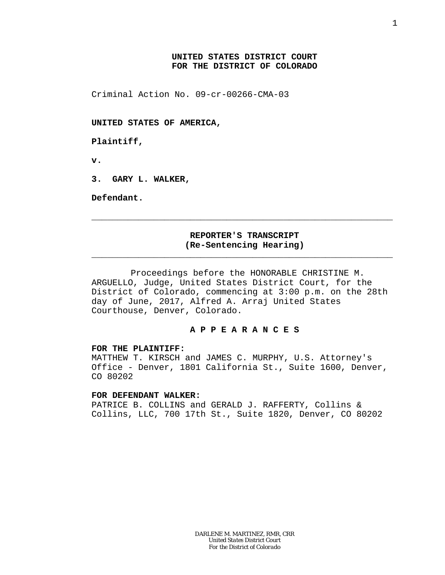# **UNITED STATES DISTRICT COURT FOR THE DISTRICT OF COLORADO**

Criminal Action No. 09-cr-00266-CMA-03

**UNITED STATES OF AMERICA,**

**Plaintiff,**

**v.**

**3. GARY L. WALKER,**

**Defendant.**

## **REPORTER'S TRANSCRIPT (Re-Sentencing Hearing)** \_\_\_\_\_\_\_\_\_\_\_\_\_\_\_\_\_\_\_\_\_\_\_\_\_\_\_\_\_\_\_\_\_\_\_\_\_\_\_\_\_\_\_\_\_\_\_\_\_\_\_\_\_\_\_\_\_\_

\_\_\_\_\_\_\_\_\_\_\_\_\_\_\_\_\_\_\_\_\_\_\_\_\_\_\_\_\_\_\_\_\_\_\_\_\_\_\_\_\_\_\_\_\_\_\_\_\_\_\_\_\_\_\_\_\_\_

Proceedings before the HONORABLE CHRISTINE M. ARGUELLO, Judge, United States District Court, for the District of Colorado, commencing at 3:00 p.m. on the 28th day of June, 2017, Alfred A. Arraj United States Courthouse, Denver, Colorado.

### **A P P E A R A N C E S**

#### **FOR THE PLAINTIFF:**

MATTHEW T. KIRSCH and JAMES C. MURPHY, U.S. Attorney's Office - Denver, 1801 California St., Suite 1600, Denver, CO 80202

### **FOR DEFENDANT WALKER:**

PATRICE B. COLLINS and GERALD J. RAFFERTY, Collins & Collins, LLC, 700 17th St., Suite 1820, Denver, CO 80202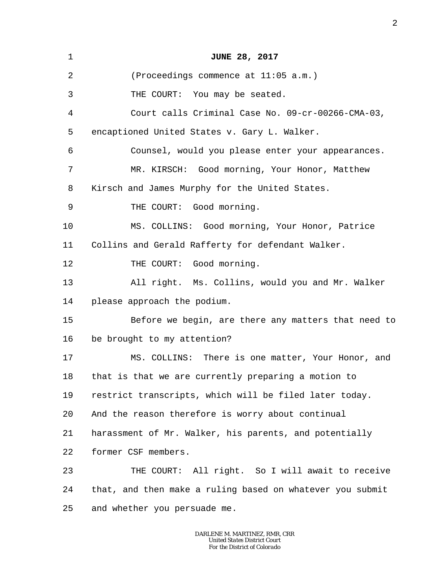| $\mathbf 1$ | <b>JUNE 28, 2017</b>                                      |
|-------------|-----------------------------------------------------------|
| 2           | (Proceedings commence at 11:05 a.m.)                      |
| 3           | THE COURT: You may be seated.                             |
| 4           | Court calls Criminal Case No. 09-cr-00266-CMA-03,         |
| 5           | encaptioned United States v. Gary L. Walker.              |
| 6           | Counsel, would you please enter your appearances.         |
| 7           | MR. KIRSCH: Good morning, Your Honor, Matthew             |
| 8           | Kirsch and James Murphy for the United States.            |
| 9           | THE COURT: Good morning.                                  |
| 10          | MS. COLLINS: Good morning, Your Honor, Patrice            |
| 11          | Collins and Gerald Rafferty for defendant Walker.         |
| 12          | THE COURT: Good morning.                                  |
| 13          | All right. Ms. Collins, would you and Mr. Walker          |
| 14          | please approach the podium.                               |
| 15          | Before we begin, are there any matters that need to       |
| 16          | be brought to my attention?                               |
| 17          | MS. COLLINS: There is one matter, Your Honor, and         |
| 18          | that is that we are currently preparing a motion to       |
| 19          | restrict transcripts, which will be filed later today.    |
| 20          | And the reason therefore is worry about continual         |
| 21          | harassment of Mr. Walker, his parents, and potentially    |
| 22          | former CSF members.                                       |
| 23          | THE COURT: All right. So I will await to receive          |
| 24          | that, and then make a ruling based on whatever you submit |
| 25          | and whether you persuade me.                              |
|             |                                                           |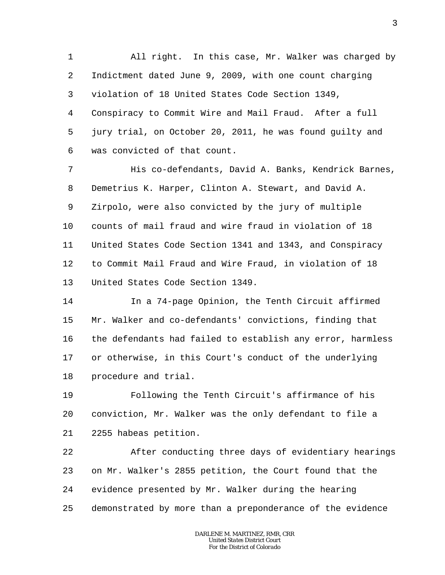1 2 3 4 5 6 All right. In this case, Mr. Walker was charged by Indictment dated June 9, 2009, with one count charging violation of 18 United States Code Section 1349, Conspiracy to Commit Wire and Mail Fraud. After a full jury trial, on October 20, 2011, he was found guilty and was convicted of that count.

7 8 9 10 11 12 13 His co-defendants, David A. Banks, Kendrick Barnes, Demetrius K. Harper, Clinton A. Stewart, and David A. Zirpolo, were also convicted by the jury of multiple counts of mail fraud and wire fraud in violation of 18 United States Code Section 1341 and 1343, and Conspiracy to Commit Mail Fraud and Wire Fraud, in violation of 18 United States Code Section 1349.

14 15 16 17 18 In a 74-page Opinion, the Tenth Circuit affirmed Mr. Walker and co-defendants' convictions, finding that the defendants had failed to establish any error, harmless or otherwise, in this Court's conduct of the underlying procedure and trial.

19 20 21 Following the Tenth Circuit's affirmance of his conviction, Mr. Walker was the only defendant to file a 2255 habeas petition.

22 23 24 25 After conducting three days of evidentiary hearings on Mr. Walker's 2855 petition, the Court found that the evidence presented by Mr. Walker during the hearing demonstrated by more than a preponderance of the evidence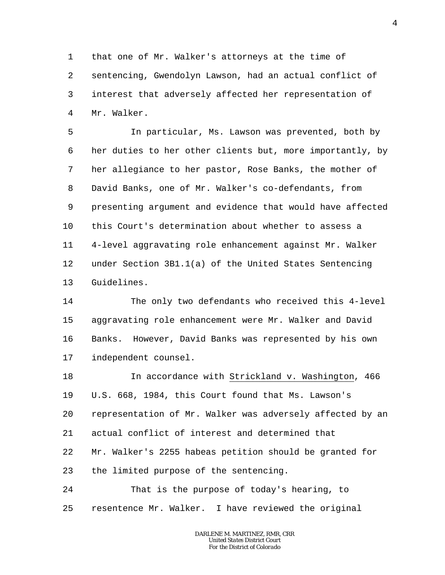1 2 3 4 that one of Mr. Walker's attorneys at the time of sentencing, Gwendolyn Lawson, had an actual conflict of interest that adversely affected her representation of Mr. Walker.

5 6 7 8 9 10 11 12 13 In particular, Ms. Lawson was prevented, both by her duties to her other clients but, more importantly, by her allegiance to her pastor, Rose Banks, the mother of David Banks, one of Mr. Walker's co-defendants, from presenting argument and evidence that would have affected this Court's determination about whether to assess a 4-level aggravating role enhancement against Mr. Walker under Section 3B1.1(a) of the United States Sentencing Guidelines.

14 15 16 17 The only two defendants who received this 4-level aggravating role enhancement were Mr. Walker and David Banks. However, David Banks was represented by his own independent counsel.

18 19 20 21 22 23 In accordance with Strickland v. Washington, 466 U.S. 668, 1984, this Court found that Ms. Lawson's representation of Mr. Walker was adversely affected by an actual conflict of interest and determined that Mr. Walker's 2255 habeas petition should be granted for the limited purpose of the sentencing.

24 25 That is the purpose of today's hearing, to resentence Mr. Walker. I have reviewed the original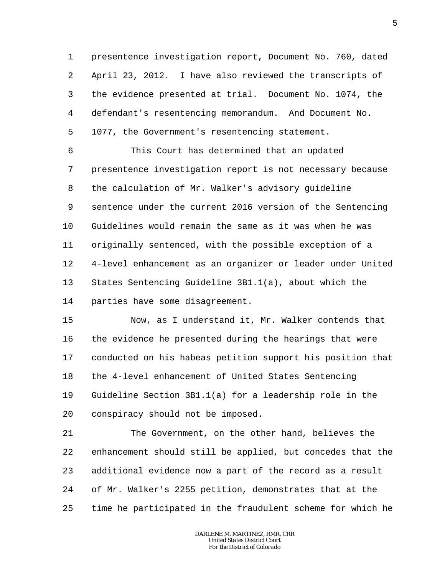1 2 3 4 5 presentence investigation report, Document No. 760, dated April 23, 2012. I have also reviewed the transcripts of the evidence presented at trial. Document No. 1074, the defendant's resentencing memorandum. And Document No. 1077, the Government's resentencing statement.

6 7 8 9 10 11 12 13 14 This Court has determined that an updated presentence investigation report is not necessary because the calculation of Mr. Walker's advisory guideline sentence under the current 2016 version of the Sentencing Guidelines would remain the same as it was when he was originally sentenced, with the possible exception of a 4-level enhancement as an organizer or leader under United States Sentencing Guideline 3B1.1(a), about which the parties have some disagreement.

15 16 17 18 19 20 Now, as I understand it, Mr. Walker contends that the evidence he presented during the hearings that were conducted on his habeas petition support his position that the 4-level enhancement of United States Sentencing Guideline Section 3B1.1(a) for a leadership role in the conspiracy should not be imposed.

21 22 23 24 25 The Government, on the other hand, believes the enhancement should still be applied, but concedes that the additional evidence now a part of the record as a result of Mr. Walker's 2255 petition, demonstrates that at the time he participated in the fraudulent scheme for which he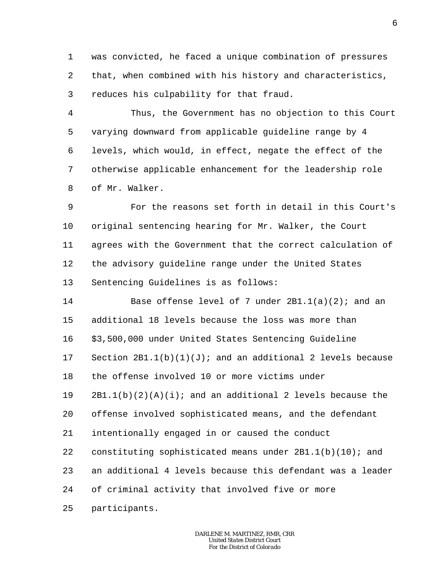1 2 3 was convicted, he faced a unique combination of pressures that, when combined with his history and characteristics, reduces his culpability for that fraud.

4 5 6 7 8 Thus, the Government has no objection to this Court varying downward from applicable guideline range by 4 levels, which would, in effect, negate the effect of the otherwise applicable enhancement for the leadership role of Mr. Walker.

9 10 11 12 13 For the reasons set forth in detail in this Court's original sentencing hearing for Mr. Walker, the Court agrees with the Government that the correct calculation of the advisory guideline range under the United States Sentencing Guidelines is as follows:

14 15 16 17 18 19 20 21 22 23 24 Base offense level of 7 under  $2B1.1(a)(2)$ ; and an additional 18 levels because the loss was more than \$3,500,000 under United States Sentencing Guideline Section  $2B1.1(b)(1)(J)$ ; and an additional 2 levels because the offense involved 10 or more victims under  $2B1.1(b)(2)(A)(i);$  and an additional 2 levels because the offense involved sophisticated means, and the defendant intentionally engaged in or caused the conduct constituting sophisticated means under  $2B1.1(b)(10)$ ; and an additional 4 levels because this defendant was a leader of criminal activity that involved five or more

25 participants.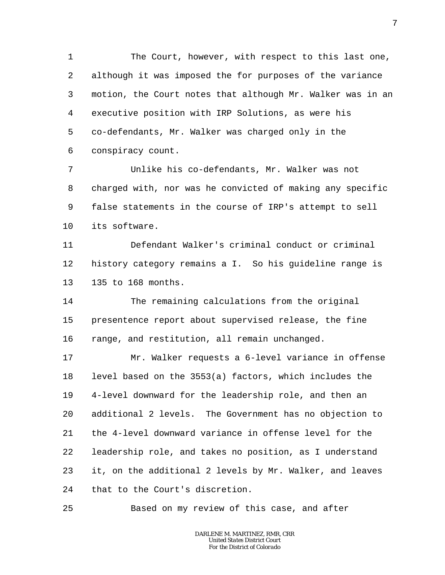1 2 3 4 5 6 The Court, however, with respect to this last one, although it was imposed the for purposes of the variance motion, the Court notes that although Mr. Walker was in an executive position with IRP Solutions, as were his co-defendants, Mr. Walker was charged only in the conspiracy count.

7 8 9 10 Unlike his co-defendants, Mr. Walker was not charged with, nor was he convicted of making any specific false statements in the course of IRP's attempt to sell its software.

11 12 13 Defendant Walker's criminal conduct or criminal history category remains a I. So his guideline range is 135 to 168 months.

14 15 16 The remaining calculations from the original presentence report about supervised release, the fine range, and restitution, all remain unchanged.

17 18 19 20 21 22 23 24 Mr. Walker requests a 6-level variance in offense level based on the 3553(a) factors, which includes the 4-level downward for the leadership role, and then an additional 2 levels. The Government has no objection to the 4-level downward variance in offense level for the leadership role, and takes no position, as I understand it, on the additional 2 levels by Mr. Walker, and leaves that to the Court's discretion.

Based on my review of this case, and after

25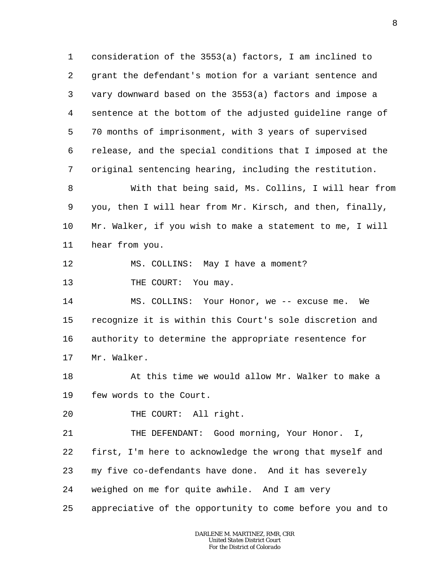1 2 3 4 5 6 7 consideration of the 3553(a) factors, I am inclined to grant the defendant's motion for a variant sentence and vary downward based on the 3553(a) factors and impose a sentence at the bottom of the adjusted guideline range of 70 months of imprisonment, with 3 years of supervised release, and the special conditions that I imposed at the original sentencing hearing, including the restitution.

8 9 10 11 With that being said, Ms. Collins, I will hear from you, then I will hear from Mr. Kirsch, and then, finally, Mr. Walker, if you wish to make a statement to me, I will hear from you.

12 MS. COLLINS: May I have a moment?

13 THE COURT: You may.

14 15 16 17 MS. COLLINS: Your Honor, we -- excuse me. We recognize it is within this Court's sole discretion and authority to determine the appropriate resentence for Mr. Walker.

18 19 At this time we would allow Mr. Walker to make a few words to the Court.

20 THE COURT: All right.

21 22 23 24 THE DEFENDANT: Good morning, Your Honor. I, first, I'm here to acknowledge the wrong that myself and my five co-defendants have done. And it has severely weighed on me for quite awhile. And I am very

25 appreciative of the opportunity to come before you and to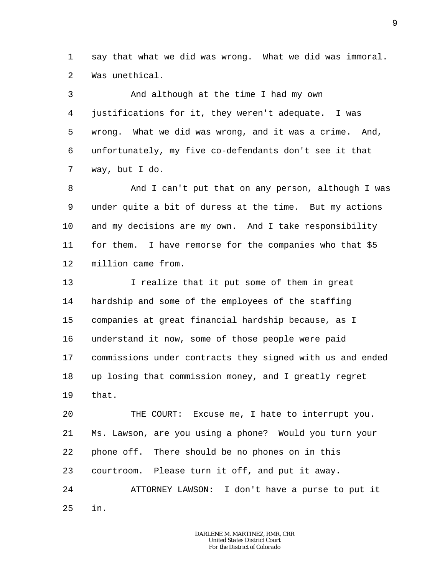1 2 say that what we did was wrong. What we did was immoral. Was unethical.

3 4 5 6 7 And although at the time I had my own justifications for it, they weren't adequate. I was wrong. What we did was wrong, and it was a crime. And, unfortunately, my five co-defendants don't see it that way, but I do.

8 9 10 11 12 And I can't put that on any person, although I was under quite a bit of duress at the time. But my actions and my decisions are my own. And I take responsibility for them. I have remorse for the companies who that \$5 million came from.

13 14 15 16 17 18 19 I realize that it put some of them in great hardship and some of the employees of the staffing companies at great financial hardship because, as I understand it now, some of those people were paid commissions under contracts they signed with us and ended up losing that commission money, and I greatly regret that.

 $20^{\circ}$ 21 22 23 24 25 THE COURT: Excuse me, I hate to interrupt you. Ms. Lawson, are you using a phone? Would you turn your phone off. There should be no phones on in this courtroom. Please turn it off, and put it away. ATTORNEY LAWSON: I don't have a purse to put it in.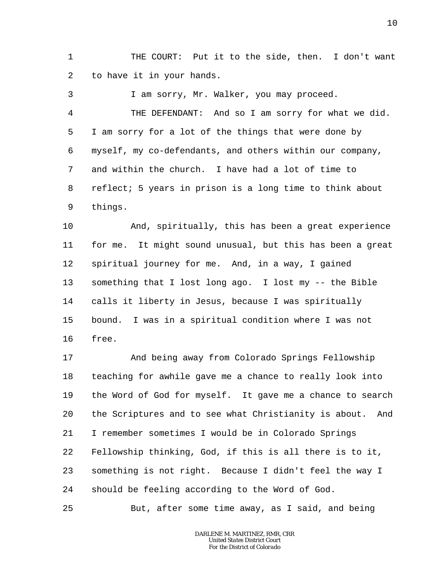1 2 THE COURT: Put it to the side, then. I don't want to have it in your hands.

3 4 5 6 7 8 9 I am sorry, Mr. Walker, you may proceed. THE DEFENDANT: And so I am sorry for what we did. I am sorry for a lot of the things that were done by myself, my co-defendants, and others within our company, and within the church. I have had a lot of time to reflect; 5 years in prison is a long time to think about things.

10 11 12 13 14 15 16 And, spiritually, this has been a great experience for me. It might sound unusual, but this has been a great spiritual journey for me. And, in a way, I gained something that I lost long ago. I lost my -- the Bible calls it liberty in Jesus, because I was spiritually bound. I was in a spiritual condition where I was not free.

17 18 19 20 21 22 23 24 And being away from Colorado Springs Fellowship teaching for awhile gave me a chance to really look into the Word of God for myself. It gave me a chance to search the Scriptures and to see what Christianity is about. And I remember sometimes I would be in Colorado Springs Fellowship thinking, God, if this is all there is to it, something is not right. Because I didn't feel the way I should be feeling according to the Word of God.

But, after some time away, as I said, and being

25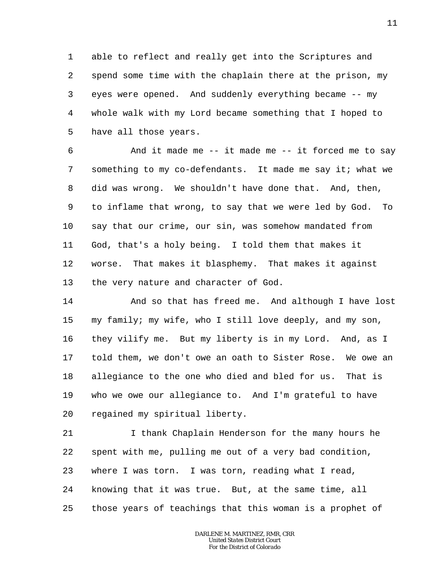1 2 3 4 5 able to reflect and really get into the Scriptures and spend some time with the chaplain there at the prison, my eyes were opened. And suddenly everything became -- my whole walk with my Lord became something that I hoped to have all those years.

6 7 8 9 10 11 12 13 And it made me -- it made me -- it forced me to say something to my co-defendants. It made me say it; what we did was wrong. We shouldn't have done that. And, then, to inflame that wrong, to say that we were led by God. To say that our crime, our sin, was somehow mandated from God, that's a holy being. I told them that makes it worse. That makes it blasphemy. That makes it against the very nature and character of God.

14 15 16 17 18 19 20 And so that has freed me. And although I have lost my family; my wife, who I still love deeply, and my son, they vilify me. But my liberty is in my Lord. And, as I told them, we don't owe an oath to Sister Rose. We owe an allegiance to the one who died and bled for us. That is who we owe our allegiance to. And I'm grateful to have regained my spiritual liberty.

21 22 23 24 25 I thank Chaplain Henderson for the many hours he spent with me, pulling me out of a very bad condition, where I was torn. I was torn, reading what I read, knowing that it was true. But, at the same time, all those years of teachings that this woman is a prophet of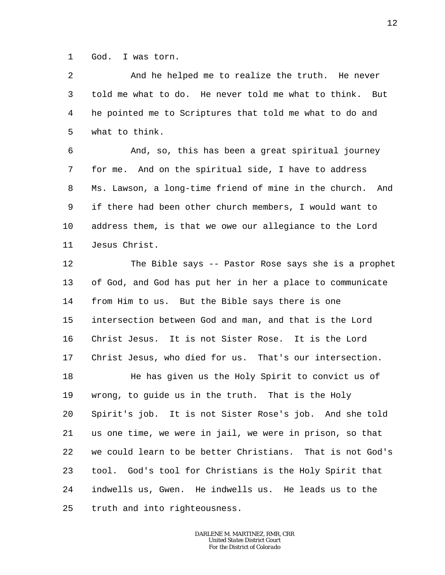1 God. I was torn.

2 3 4 5 And he helped me to realize the truth. He never told me what to do. He never told me what to think. But he pointed me to Scriptures that told me what to do and what to think.

6 7 8 9 10 11 And, so, this has been a great spiritual journey for me. And on the spiritual side, I have to address Ms. Lawson, a long-time friend of mine in the church. And if there had been other church members, I would want to address them, is that we owe our allegiance to the Lord Jesus Christ.

12 13 14 15 16 17 The Bible says -- Pastor Rose says she is a prophet of God, and God has put her in her a place to communicate from Him to us. But the Bible says there is one intersection between God and man, and that is the Lord Christ Jesus. It is not Sister Rose. It is the Lord Christ Jesus, who died for us. That's our intersection.

18 19 20 21 22 23 24 25 He has given us the Holy Spirit to convict us of wrong, to guide us in the truth. That is the Holy Spirit's job. It is not Sister Rose's job. And she told us one time, we were in jail, we were in prison, so that we could learn to be better Christians. That is not God's tool. God's tool for Christians is the Holy Spirit that indwells us, Gwen. He indwells us. He leads us to the truth and into righteousness.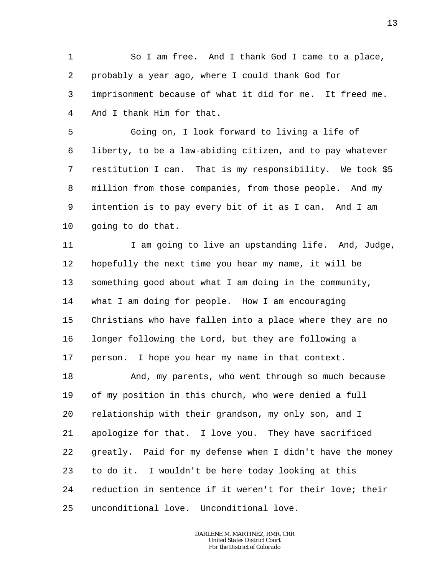1 2 3 4 So I am free. And I thank God I came to a place, probably a year ago, where I could thank God for imprisonment because of what it did for me. It freed me. And I thank Him for that.

5 6 7 8 9 10 Going on, I look forward to living a life of liberty, to be a law-abiding citizen, and to pay whatever restitution I can. That is my responsibility. We took \$5 million from those companies, from those people. And my intention is to pay every bit of it as I can. And I am going to do that.

11 12 13 14 15 16 17 I am going to live an upstanding life. And, Judge, hopefully the next time you hear my name, it will be something good about what I am doing in the community, what I am doing for people. How I am encouraging Christians who have fallen into a place where they are no longer following the Lord, but they are following a person. I hope you hear my name in that context.

18 19 20 21 22 23 24 25 And, my parents, who went through so much because of my position in this church, who were denied a full relationship with their grandson, my only son, and I apologize for that. I love you. They have sacrificed greatly. Paid for my defense when I didn't have the money to do it. I wouldn't be here today looking at this reduction in sentence if it weren't for their love; their unconditional love. Unconditional love.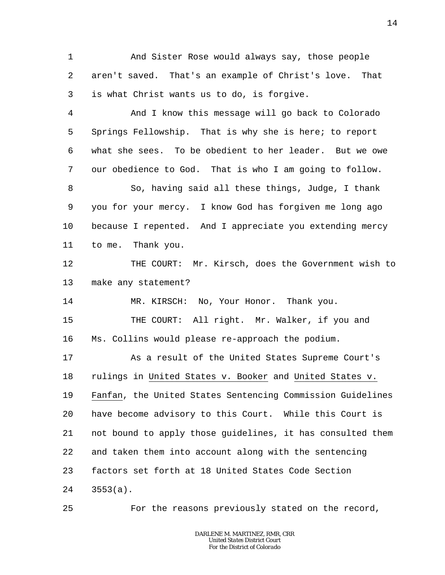1 2 3 And Sister Rose would always say, those people aren't saved. That's an example of Christ's love. That is what Christ wants us to do, is forgive.

4 5 6 7 8 9 10 11 And I know this message will go back to Colorado Springs Fellowship. That is why she is here; to report what she sees. To be obedient to her leader. But we owe our obedience to God. That is who I am going to follow. So, having said all these things, Judge, I thank you for your mercy. I know God has forgiven me long ago because I repented. And I appreciate you extending mercy to me. Thank you.

12 13 THE COURT: Mr. Kirsch, does the Government wish to make any statement?

14 MR. KIRSCH: No, Your Honor. Thank you.

15 16 THE COURT: All right. Mr. Walker, if you and Ms. Collins would please re-approach the podium.

17 18 19 20 21 22 23 24 As a result of the United States Supreme Court's rulings in United States v. Booker and United States v. Fanfan, the United States Sentencing Commission Guidelines have become advisory to this Court. While this Court is not bound to apply those guidelines, it has consulted them and taken them into account along with the sentencing factors set forth at 18 United States Code Section 3553(a).

25

For the reasons previously stated on the record,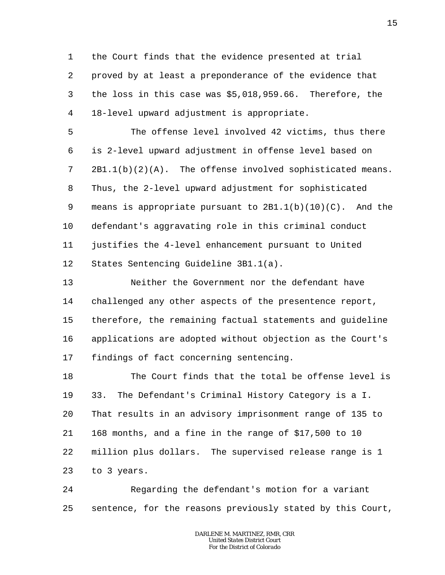1 2 3 4 the Court finds that the evidence presented at trial proved by at least a preponderance of the evidence that the loss in this case was \$5,018,959.66. Therefore, the 18-level upward adjustment is appropriate.

5 6 7 8 9 10 11 12 The offense level involved 42 victims, thus there is 2-level upward adjustment in offense level based on  $2B1.1(b)(2)(A)$ . The offense involved sophisticated means. Thus, the 2-level upward adjustment for sophisticated means is appropriate pursuant to  $2B1.1(b)(10)(C)$ . And the defendant's aggravating role in this criminal conduct justifies the 4-level enhancement pursuant to United States Sentencing Guideline 3B1.1(a).

13 14 15 16 17 Neither the Government nor the defendant have challenged any other aspects of the presentence report, therefore, the remaining factual statements and guideline applications are adopted without objection as the Court's findings of fact concerning sentencing.

18 19 20 21 22 23 The Court finds that the total be offense level is 33. The Defendant's Criminal History Category is a I. That results in an advisory imprisonment range of 135 to 168 months, and a fine in the range of \$17,500 to 10 million plus dollars. The supervised release range is 1 to 3 years.

24 25 Regarding the defendant's motion for a variant sentence, for the reasons previously stated by this Court,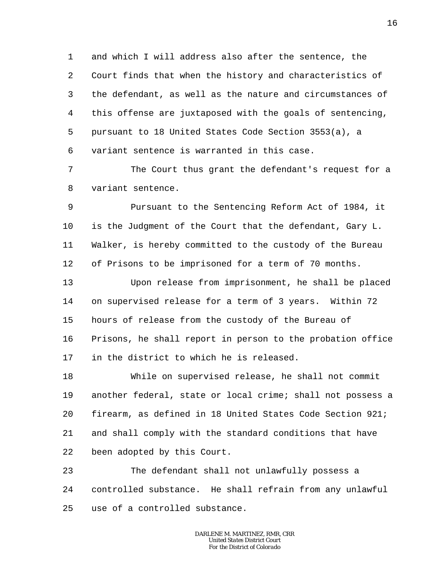1 2 3 4 5 6 and which I will address also after the sentence, the Court finds that when the history and characteristics of the defendant, as well as the nature and circumstances of this offense are juxtaposed with the goals of sentencing, pursuant to 18 United States Code Section 3553(a), a variant sentence is warranted in this case.

7 8 The Court thus grant the defendant's request for a variant sentence.

9 10 11 12 Pursuant to the Sentencing Reform Act of 1984, it is the Judgment of the Court that the defendant, Gary L. Walker, is hereby committed to the custody of the Bureau of Prisons to be imprisoned for a term of 70 months.

13 14 15 16 17 Upon release from imprisonment, he shall be placed on supervised release for a term of 3 years. Within 72 hours of release from the custody of the Bureau of Prisons, he shall report in person to the probation office in the district to which he is released.

18 19 20 21 22 While on supervised release, he shall not commit another federal, state or local crime; shall not possess a firearm, as defined in 18 United States Code Section 921; and shall comply with the standard conditions that have been adopted by this Court.

23 24 25 The defendant shall not unlawfully possess a controlled substance. He shall refrain from any unlawful use of a controlled substance.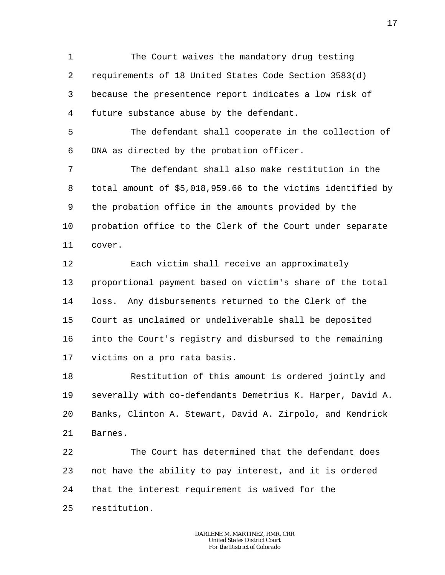1 2 3 4 The Court waives the mandatory drug testing requirements of 18 United States Code Section 3583(d) because the presentence report indicates a low risk of future substance abuse by the defendant.

5 6 The defendant shall cooperate in the collection of DNA as directed by the probation officer.

7 8 9 10 11 The defendant shall also make restitution in the total amount of \$5,018,959.66 to the victims identified by the probation office in the amounts provided by the probation office to the Clerk of the Court under separate cover.

12 13 14 15 16 17 Each victim shall receive an approximately proportional payment based on victim's share of the total loss. Any disbursements returned to the Clerk of the Court as unclaimed or undeliverable shall be deposited into the Court's registry and disbursed to the remaining victims on a pro rata basis.

18 19 20 21 Restitution of this amount is ordered jointly and severally with co-defendants Demetrius K. Harper, David A. Banks, Clinton A. Stewart, David A. Zirpolo, and Kendrick Barnes.

22 23 24 25 The Court has determined that the defendant does not have the ability to pay interest, and it is ordered that the interest requirement is waived for the restitution.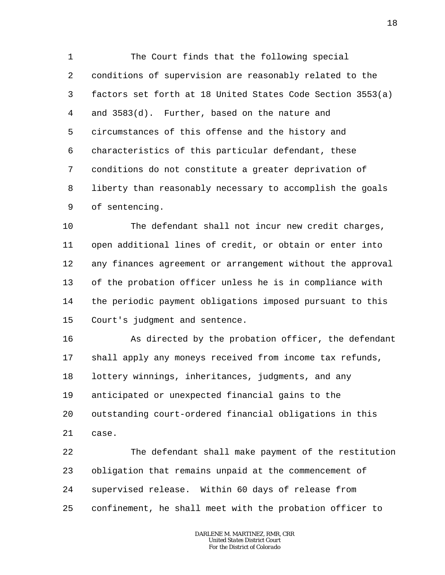1 2 3 4 5 6 7 8 9 The Court finds that the following special conditions of supervision are reasonably related to the factors set forth at 18 United States Code Section 3553(a) and 3583(d). Further, based on the nature and circumstances of this offense and the history and characteristics of this particular defendant, these conditions do not constitute a greater deprivation of liberty than reasonably necessary to accomplish the goals of sentencing.

10 11 12 13 14 15 The defendant shall not incur new credit charges, open additional lines of credit, or obtain or enter into any finances agreement or arrangement without the approval of the probation officer unless he is in compliance with the periodic payment obligations imposed pursuant to this Court's judgment and sentence.

16 17 18 19 20 21 As directed by the probation officer, the defendant shall apply any moneys received from income tax refunds, lottery winnings, inheritances, judgments, and any anticipated or unexpected financial gains to the outstanding court-ordered financial obligations in this case.

22 23 24 25 The defendant shall make payment of the restitution obligation that remains unpaid at the commencement of supervised release. Within 60 days of release from confinement, he shall meet with the probation officer to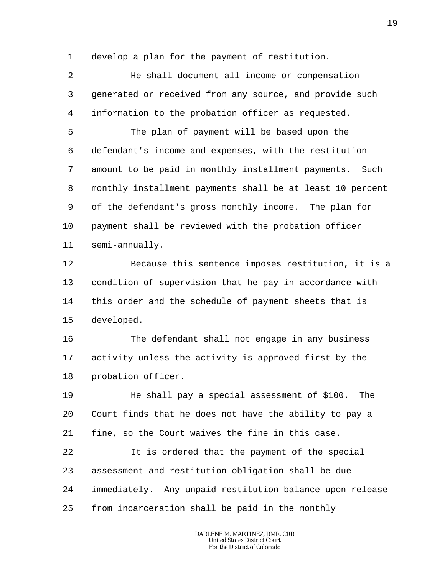1 develop a plan for the payment of restitution.

2 3 4 He shall document all income or compensation generated or received from any source, and provide such information to the probation officer as requested.

5 6 7 8 9 10 11 The plan of payment will be based upon the defendant's income and expenses, with the restitution amount to be paid in monthly installment payments. Such monthly installment payments shall be at least 10 percent of the defendant's gross monthly income. The plan for payment shall be reviewed with the probation officer semi-annually.

12 13 14 15 Because this sentence imposes restitution, it is a condition of supervision that he pay in accordance with this order and the schedule of payment sheets that is developed.

16 17 18 The defendant shall not engage in any business activity unless the activity is approved first by the probation officer.

19  $20^{\circ}$ 21 He shall pay a special assessment of \$100. The Court finds that he does not have the ability to pay a fine, so the Court waives the fine in this case.

22 23 24 25 It is ordered that the payment of the special assessment and restitution obligation shall be due immediately. Any unpaid restitution balance upon release from incarceration shall be paid in the monthly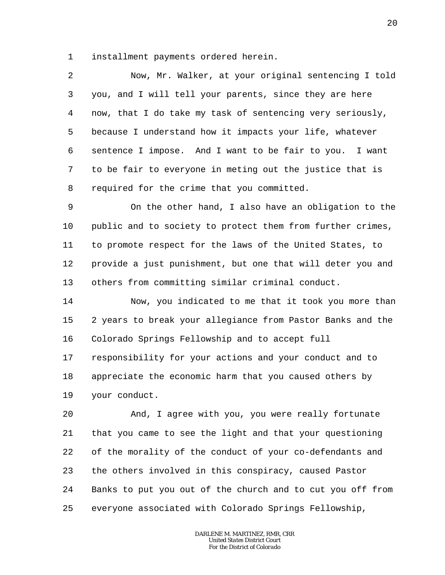1 installment payments ordered herein.

2 3 4 5 6 7 8 Now, Mr. Walker, at your original sentencing I told you, and I will tell your parents, since they are here now, that I do take my task of sentencing very seriously, because I understand how it impacts your life, whatever sentence I impose. And I want to be fair to you. I want to be fair to everyone in meting out the justice that is required for the crime that you committed.

9 10 11 12 13 On the other hand, I also have an obligation to the public and to society to protect them from further crimes, to promote respect for the laws of the United States, to provide a just punishment, but one that will deter you and others from committing similar criminal conduct.

14 15 16 17 18 19 Now, you indicated to me that it took you more than 2 years to break your allegiance from Pastor Banks and the Colorado Springs Fellowship and to accept full responsibility for your actions and your conduct and to appreciate the economic harm that you caused others by your conduct.

20 21 22 23 24 25 And, I agree with you, you were really fortunate that you came to see the light and that your questioning of the morality of the conduct of your co-defendants and the others involved in this conspiracy, caused Pastor Banks to put you out of the church and to cut you off from everyone associated with Colorado Springs Fellowship,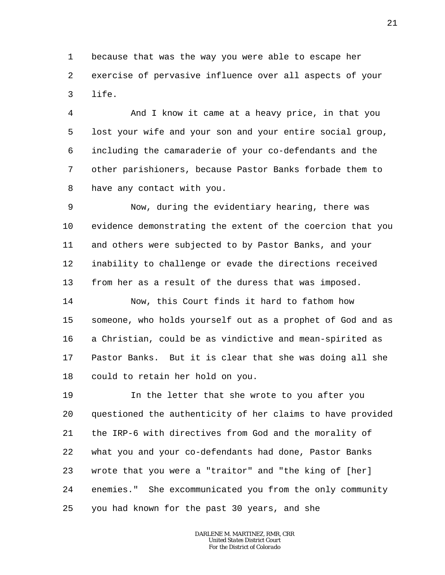1 2 3 because that was the way you were able to escape her exercise of pervasive influence over all aspects of your life.

4 5 6 7 8 And I know it came at a heavy price, in that you lost your wife and your son and your entire social group, including the camaraderie of your co-defendants and the other parishioners, because Pastor Banks forbade them to have any contact with you.

9 10 11 12 13 Now, during the evidentiary hearing, there was evidence demonstrating the extent of the coercion that you and others were subjected to by Pastor Banks, and your inability to challenge or evade the directions received from her as a result of the duress that was imposed.

14 15 16 17 18 Now, this Court finds it hard to fathom how someone, who holds yourself out as a prophet of God and as a Christian, could be as vindictive and mean-spirited as Pastor Banks. But it is clear that she was doing all she could to retain her hold on you.

19 20 21 22 23 24 25 In the letter that she wrote to you after you questioned the authenticity of her claims to have provided the IRP-6 with directives from God and the morality of what you and your co-defendants had done, Pastor Banks wrote that you were a "traitor" and "the king of [her] enemies." She excommunicated you from the only community you had known for the past 30 years, and she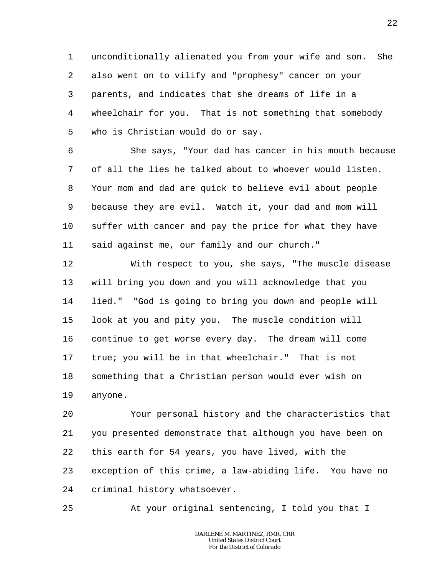1 2 3 4 5 unconditionally alienated you from your wife and son. She also went on to vilify and "prophesy" cancer on your parents, and indicates that she dreams of life in a wheelchair for you. That is not something that somebody who is Christian would do or say.

6 7 8 9 10 11 She says, "Your dad has cancer in his mouth because of all the lies he talked about to whoever would listen. Your mom and dad are quick to believe evil about people because they are evil. Watch it, your dad and mom will suffer with cancer and pay the price for what they have said against me, our family and our church."

12 13 14 15 16 17 18 19 With respect to you, she says, "The muscle disease will bring you down and you will acknowledge that you lied." "God is going to bring you down and people will look at you and pity you. The muscle condition will continue to get worse every day. The dream will come true; you will be in that wheelchair." That is not something that a Christian person would ever wish on anyone.

20 21 22 23 24 Your personal history and the characteristics that you presented demonstrate that although you have been on this earth for 54 years, you have lived, with the exception of this crime, a law-abiding life. You have no criminal history whatsoever.

25 At your original sentencing, I told you that I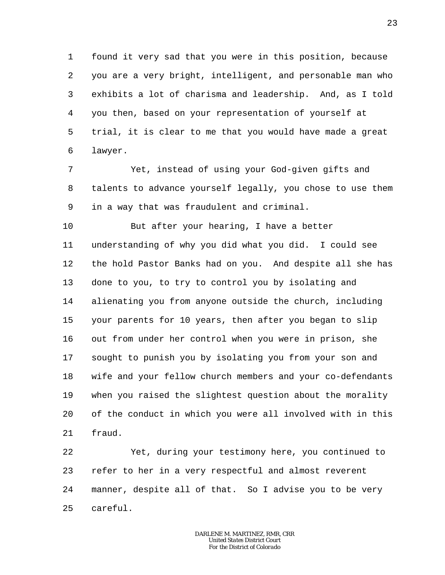1 2 3 4 5 6 found it very sad that you were in this position, because you are a very bright, intelligent, and personable man who exhibits a lot of charisma and leadership. And, as I told you then, based on your representation of yourself at trial, it is clear to me that you would have made a great lawyer.

7 8 9 Yet, instead of using your God-given gifts and talents to advance yourself legally, you chose to use them in a way that was fraudulent and criminal.

10 11 12 13 14 15 16 17 18 19 20 21 But after your hearing, I have a better understanding of why you did what you did. I could see the hold Pastor Banks had on you. And despite all she has done to you, to try to control you by isolating and alienating you from anyone outside the church, including your parents for 10 years, then after you began to slip out from under her control when you were in prison, she sought to punish you by isolating you from your son and wife and your fellow church members and your co-defendants when you raised the slightest question about the morality of the conduct in which you were all involved with in this fraud.

22 23 24 25 Yet, during your testimony here, you continued to refer to her in a very respectful and almost reverent manner, despite all of that. So I advise you to be very careful.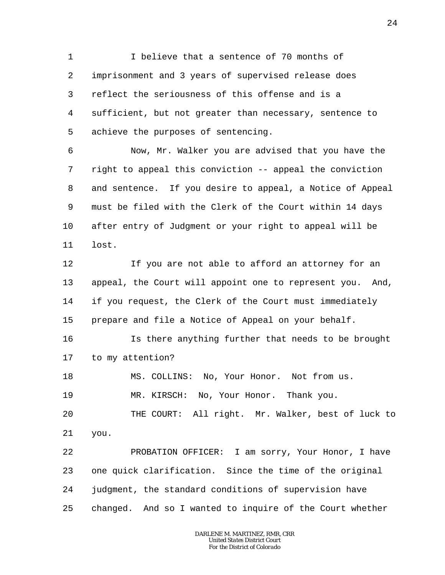1 2 3 4 5 I believe that a sentence of 70 months of imprisonment and 3 years of supervised release does reflect the seriousness of this offense and is a sufficient, but not greater than necessary, sentence to achieve the purposes of sentencing.

6 7 8 9 10 11 Now, Mr. Walker you are advised that you have the right to appeal this conviction -- appeal the conviction and sentence. If you desire to appeal, a Notice of Appeal must be filed with the Clerk of the Court within 14 days after entry of Judgment or your right to appeal will be lost.

12 13 14 15 If you are not able to afford an attorney for an appeal, the Court will appoint one to represent you. And, if you request, the Clerk of the Court must immediately prepare and file a Notice of Appeal on your behalf.

16 17 Is there anything further that needs to be brought to my attention?

18 MS. COLLINS: No, Your Honor. Not from us.

19 MR. KIRSCH: No, Your Honor. Thank you.

20 21 THE COURT: All right. Mr. Walker, best of luck to you.

22 23 24 25 PROBATION OFFICER: I am sorry, Your Honor, I have one quick clarification. Since the time of the original judgment, the standard conditions of supervision have changed. And so I wanted to inquire of the Court whether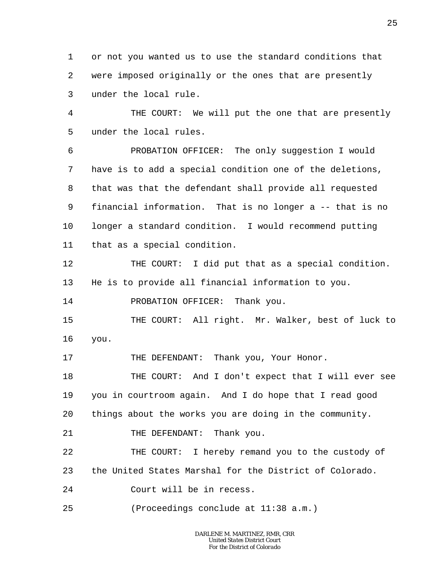1 2 3 or not you wanted us to use the standard conditions that were imposed originally or the ones that are presently under the local rule.

4 5 THE COURT: We will put the one that are presently under the local rules.

6 7 8 9 10 11 PROBATION OFFICER: The only suggestion I would have is to add a special condition one of the deletions, that was that the defendant shall provide all requested financial information. That is no longer a -- that is no longer a standard condition. I would recommend putting that as a special condition.

12 13 THE COURT: I did put that as a special condition. He is to provide all financial information to you.

14 PROBATION OFFICER: Thank you.

15 16 THE COURT: All right. Mr. Walker, best of luck to you.

17 THE DEFENDANT: Thank you, Your Honor.

18 19 20 THE COURT: And I don't expect that I will ever see you in courtroom again. And I do hope that I read good things about the works you are doing in the community.

21 THE DEFENDANT: Thank you.

22 23 THE COURT: I hereby remand you to the custody of the United States Marshal for the District of Colorado.

24 Court will be in recess.

25 (Proceedings conclude at 11:38 a.m.)